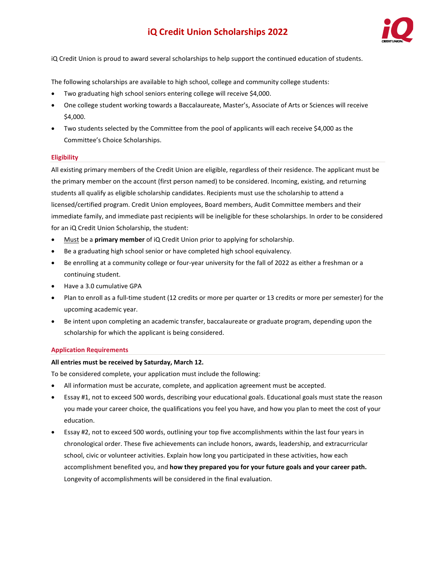# **iQ Credit Union Scholarships 2022**



iQ Credit Union is proud to award several scholarships to help support the continued education of students.

The following scholarships are available to high school, college and community college students:

- Two graduating high school seniors entering college will receive \$4,000.
- One college student working towards a Baccalaureate, Master's, Associate of Arts or Sciences will receive \$4,000.
- Two students selected by the Committee from the pool of applicants will each receive \$4,000 as the Committee's Choice Scholarships.

### **Eligibility**

All existing primary members of the Credit Union are eligible, regardless of their residence. The applicant must be the primary member on the account (first person named) to be considered. Incoming, existing, and returning students all qualify as eligible scholarship candidates. Recipients must use the scholarship to attend a licensed/certified program. Credit Union employees, Board members, Audit Committee members and their immediate family, and immediate past recipients will be ineligible for these scholarships. In order to be considered for an iQ Credit Union Scholarship, the student:

- Must be a **primary member** of iQ Credit Union prior to applying for scholarship.
- Be a graduating high school senior or have completed high school equivalency.
- Be enrolling at a community college or four-year university for the fall of 2022 as either a freshman or a continuing student.
- Have a 3.0 cumulative GPA
- Plan to enroll as a full-time student (12 credits or more per quarter or 13 credits or more per semester) for the upcoming academic year.
- Be intent upon completing an academic transfer, baccalaureate or graduate program, depending upon the scholarship for which the applicant is being considered.

### **Application Requirements**

### **All entries must be received by Saturday, March 12.**

To be considered complete, your application must include the following:

- All information must be accurate, complete, and application agreement must be accepted.
- Essay #1, not to exceed 500 words, describing your educational goals. Educational goals must state the reason you made your career choice, the qualifications you feel you have, and how you plan to meet the cost of your education.
- Essay #2, not to exceed 500 words, outlining your top five accomplishments within the last four years in chronological order. These five achievements can include honors, awards, leadership, and extracurricular school, civic or volunteer activities. Explain how long you participated in these activities, how each accomplishment benefited you, and **how they prepared you for your future goals and your career path.**  Longevity of accomplishments will be considered in the final evaluation.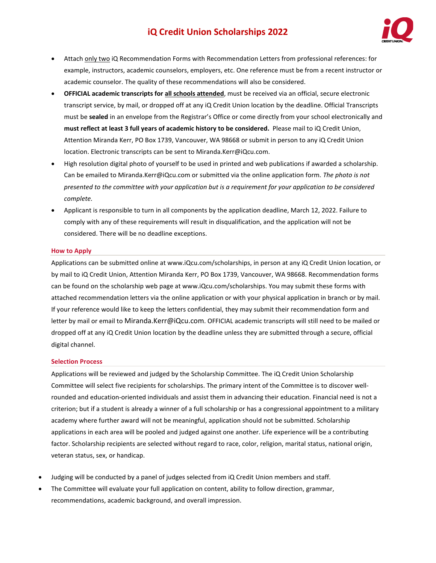### **iQ Credit Union Scholarships 2022**



- Attach only two [iQ Recommendation Forms](https://www.iqcu.com/sites/default/files/Scholarship%20Recommendation%20Form%20for%2015.pdf) with Recommendation Letters from professional references: for example, instructors, academic counselors, employers, etc. One reference must be from a recent instructor or academic counselor. The quality of these recommendations will also be considered.
- **OFFICIAL academic transcripts for all schools attended**, must be received via an official, secure electronic transcript service, by mail, or dropped off at any iQ Credit Union location by the deadline. Official Transcripts must be **sealed** in an envelope from the Registrar's Office or come directly from your school electronically and **must reflect at least 3 full years of academic history to be considered.** Please mail to iQ Credit Union, Attention Miranda Kerr, PO Box 1739, Vancouver, WA 98668 or submit in person to any iQ Credit Union location. Electronic transcripts can be sent to Miranda.Kerr@iQcu.com.
- High resolution digital photo of yourself to be used in printed and web publications if awarded a scholarship. Can be emailed to Miranda.Kerr@iQcu.com or submitted via the online application form. *The photo is not presented to the committee with your application but is a requirement for your application to be considered complete.*
- Applicant is responsible to turn in all components by the application deadline, March 12, 2022. Failure to comply with any of these requirements will result in disqualification, and the application will not be considered. There will be no deadline exceptions.

### **How to Apply**

Applications can be submitted online at www.iQcu.com/scholarships, in person at any iQ Credit Union location, or by mail to iQ Credit Union, Attention Miranda Kerr, PO Box 1739, Vancouver, WA 98668. Recommendation forms can be found on the scholarship web page at www.iQcu.com/scholarships. You may submit these forms with attached recommendation letters via the online application or with your physical application in branch or by mail. If your reference would like to keep the letters confidential, they may submit their recommendation form and letter by mail or email to Miranda.Kerr@iQcu.com. OFFICIAL academic transcripts will still need to be mailed or dropped off at any iQ Credit Union location by the deadline unless they are submitted through a secure, official digital channel.

### **Selection Process**

Applications will be reviewed and judged by the Scholarship Committee. The iQ Credit Union Scholarship Committee will select five recipients for scholarships. The primary intent of the Committee is to discover wellrounded and education-oriented individuals and assist them in advancing their education. Financial need is not a criterion; but if a student is already a winner of a full scholarship or has a congressional appointment to a military academy where further award will not be meaningful, application should not be submitted. Scholarship applications in each area will be pooled and judged against one another. Life experience will be a contributing factor. Scholarship recipients are selected without regard to race, color, religion, marital status, national origin, veteran status, sex, or handicap.

- Judging will be conducted by a panel of judges selected from iQ Credit Union members and staff.
- The Committee will evaluate your full application on content, ability to follow direction, grammar, recommendations, academic background, and overall impression.